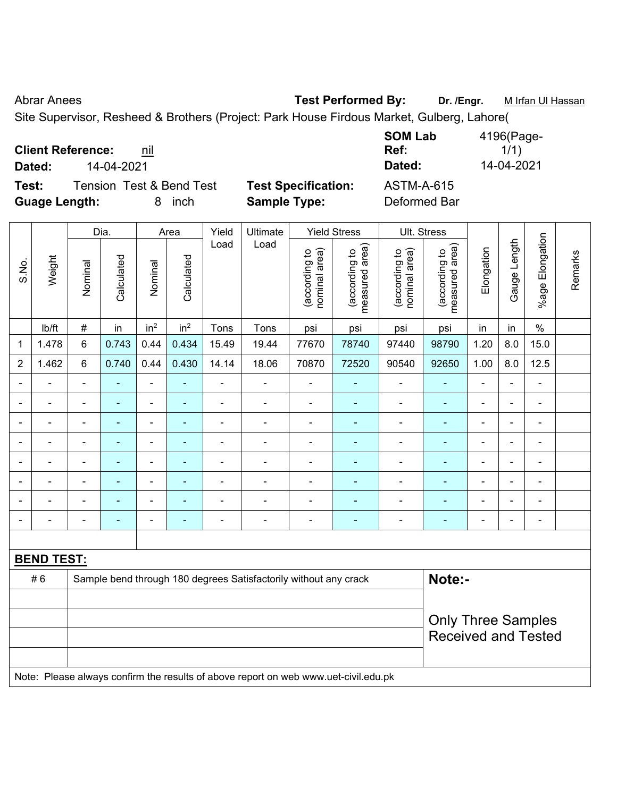Abrar Anees **Test Performed By:** Dr. /Engr. **Mark Infrantity Communist Performed By:** Dr. /Engr. **Mark Infran Ul Hassan** 

Site Supervisor, Resheed & Brothers (Project: Park House Firdous Market, Gulberg, Lahore(

| <b>Client Reference:</b> | nil |
|--------------------------|-----|
|--------------------------|-----|

**Test:** Tension Test & Bend Test **Test Specification:** ASTM-A-615

**Guage Length:** 8 inch **Sample Type:** Deformed Bar

**SOM Lab Ref:**   $1/1)$ **Dated:** 14-04-2021 **Dated:** 14-04-2021

|                |                   |                              | Dia.           |                          | Area            | Yield          | Ultimate                                                                            |                                | <b>Yield Stress</b>             |                                | <b>Ult. Stress</b>              |                |                          |                 |         |
|----------------|-------------------|------------------------------|----------------|--------------------------|-----------------|----------------|-------------------------------------------------------------------------------------|--------------------------------|---------------------------------|--------------------------------|---------------------------------|----------------|--------------------------|-----------------|---------|
| S.No.          | Weight            | Nominal                      | Calculated     | Nominal                  | Calculated      | Load           | Load                                                                                | nominal area)<br>(according to | measured area)<br>(according to | nominal area)<br>(according to | (according to<br>measured area) | Elongation     | Gauge Length             | %age Elongation | Remarks |
|                | Ib/ft             | $\#$                         | in             | in <sup>2</sup>          | in <sup>2</sup> | Tons           | Tons                                                                                | psi                            | psi                             | psi                            | psi                             | in             | in                       | $\%$            |         |
| 1              | 1.478             | 6                            | 0.743          | 0.44                     | 0.434           | 15.49          | 19.44                                                                               | 77670                          | 78740                           | 97440                          | 98790                           | 1.20           | 8.0                      | 15.0            |         |
| $\overline{2}$ | 1.462             | 6                            | 0.740          | 0.44                     | 0.430           | 14.14          | 18.06                                                                               | 70870                          | 72520                           | 90540                          | 92650                           | 1.00           | 8.0                      | 12.5            |         |
|                | $\blacksquare$    | $\blacksquare$               | $\blacksquare$ | $\blacksquare$           | Ξ               | $\blacksquare$ | ä,                                                                                  | $\blacksquare$                 | ٠                               | ÷,                             | ۰                               | $\blacksquare$ | $\blacksquare$           | $\blacksquare$  |         |
|                | $\blacksquare$    | $\overline{\phantom{a}}$     | $\blacksquare$ | $\blacksquare$           | ÷               | ÷,             | ÷                                                                                   | $\blacksquare$                 | ÷                               | ÷,                             | ÷                               | ÷,             | $\blacksquare$           | $\blacksquare$  |         |
|                | $\blacksquare$    | ä,                           | ä,             | $\blacksquare$           | ÷               | ä,             | $\blacksquare$                                                                      | ä,                             | ÷                               | $\blacksquare$                 | ÷,                              | $\blacksquare$ | $\blacksquare$           | $\blacksquare$  |         |
|                | $\blacksquare$    | $\blacksquare$               | ÷,             | ä,                       | ٠               | ä,             | $\blacksquare$                                                                      | ä,                             | ä,                              | $\blacksquare$                 | $\blacksquare$                  | $\blacksquare$ | $\blacksquare$           | $\blacksquare$  |         |
|                |                   |                              | ÷              |                          | ÷               |                |                                                                                     | $\blacksquare$                 | ä,                              |                                |                                 | L,             |                          |                 |         |
|                |                   |                              |                |                          | $\blacksquare$  |                | ÷                                                                                   | $\blacksquare$                 | ۰                               | $\blacksquare$                 |                                 | L.             | $\sim$                   |                 |         |
|                |                   |                              |                |                          | $\overline{a}$  |                |                                                                                     | L.                             | ۳                               |                                |                                 |                | $\overline{\phantom{a}}$ |                 |         |
|                | $\blacksquare$    | $\qquad \qquad \blacksquare$ | $\blacksquare$ | $\overline{\phantom{0}}$ | ÷               | $\blacksquare$ | $\blacksquare$                                                                      | $\blacksquare$                 | $\blacksquare$                  | $\blacksquare$                 | $\blacksquare$                  | ä,             | $\overline{a}$           | $\blacksquare$  |         |
|                |                   |                              |                |                          |                 |                |                                                                                     |                                |                                 |                                |                                 |                |                          |                 |         |
|                | <b>BEND TEST:</b> |                              |                |                          |                 |                |                                                                                     |                                |                                 |                                |                                 |                |                          |                 |         |
|                | #6                |                              |                |                          |                 |                | Sample bend through 180 degrees Satisfactorily without any crack                    |                                |                                 |                                | Note:-                          |                |                          |                 |         |
|                |                   |                              |                |                          |                 |                |                                                                                     |                                |                                 |                                |                                 |                |                          |                 |         |
|                |                   |                              |                |                          |                 |                |                                                                                     |                                |                                 |                                | <b>Only Three Samples</b>       |                |                          |                 |         |
|                |                   |                              |                |                          |                 |                |                                                                                     |                                |                                 |                                | <b>Received and Tested</b>      |                |                          |                 |         |
|                |                   |                              |                |                          |                 |                |                                                                                     |                                |                                 |                                |                                 |                |                          |                 |         |
|                |                   |                              |                |                          |                 |                | Note: Please always confirm the results of above report on web www.uet-civil.edu.pk |                                |                                 |                                |                                 |                |                          |                 |         |
|                |                   |                              |                |                          |                 |                |                                                                                     |                                |                                 |                                |                                 |                |                          |                 |         |

4196(Page-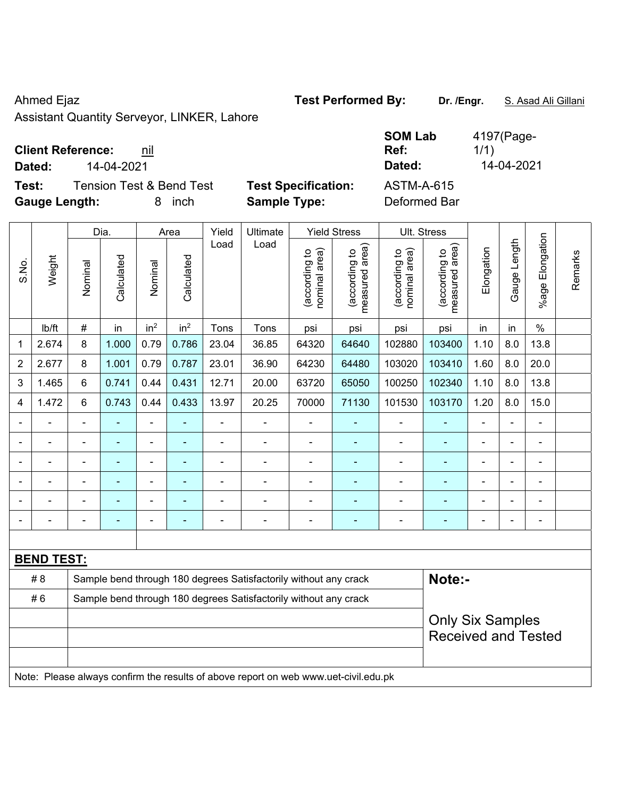Assistant Quantity Serveyor, LINKER, Lahore

**Client Reference: nil** 

**Test:** Tension Test & Bend Test **Test Specification:** ASTM-A-615 **Gauge Length:** 8 inch **Sample Type:** Deformed Bar

|                         |                   |         | Dia.           |                          | Area            | Yield          | Ultimate                                                                            |                                | <b>Yield Stress</b>             |                                | Ult. Stress                        |                              |                |                 |         |
|-------------------------|-------------------|---------|----------------|--------------------------|-----------------|----------------|-------------------------------------------------------------------------------------|--------------------------------|---------------------------------|--------------------------------|------------------------------------|------------------------------|----------------|-----------------|---------|
| S.No.                   | Weight            | Nominal | Calculated     | Nominal                  | Calculated      | Load           | Load                                                                                | nominal area)<br>(according to | measured area)<br>(according to | (according to<br>nominal area) | area)<br>(according to<br>measured | Elongation                   | Gauge Length   | %age Elongation | Remarks |
|                         | lb/ft             | $\#$    | in             | in <sup>2</sup>          | in <sup>2</sup> | Tons           | Tons                                                                                | psi                            | psi                             | psi                            | psi                                | in                           | in             | $\%$            |         |
| $\mathbf 1$             | 2.674             | 8       | 1.000          | 0.79                     | 0.786           | 23.04          | 36.85                                                                               | 64320                          | 64640                           | 102880                         | 103400                             | 1.10                         | 8.0            | 13.8            |         |
| $\boldsymbol{2}$        | 2.677             | 8       | 1.001          | 0.79                     | 0.787           | 23.01          | 36.90                                                                               | 64230                          | 64480                           | 103020                         | 103410                             | 1.60                         | 8.0            | 20.0            |         |
| 3                       | 1.465             | 6       | 0.741          | 0.44                     | 0.431           | 12.71          | 20.00                                                                               | 63720                          | 65050                           | 100250                         | 102340                             | 1.10                         | 8.0            | 13.8            |         |
| $\overline{\mathbf{4}}$ | 1.472             | 6       | 0.743          | 0.44                     | 0.433           | 13.97          | 20.25                                                                               | 70000                          | 71130                           | 101530                         | 103170                             | 1.20                         | 8.0            | 15.0            |         |
| $\blacksquare$          |                   |         |                |                          |                 | ÷              | $\overline{\phantom{a}}$                                                            | $\blacksquare$                 |                                 |                                |                                    | $\qquad \qquad \blacksquare$ | $\blacksquare$ | $\blacksquare$  |         |
| ÷,                      | $\blacksquare$    |         | $\blacksquare$ | $\blacksquare$           | ٠               | $\blacksquare$ | $\qquad \qquad \blacksquare$                                                        | $\blacksquare$                 | ٠                               | $\blacksquare$                 | ÷,                                 | $\blacksquare$               | ä,             | $\blacksquare$  |         |
|                         |                   |         |                |                          |                 |                |                                                                                     | $\blacksquare$                 |                                 |                                |                                    |                              | $\blacksquare$ |                 |         |
|                         |                   |         |                |                          |                 |                |                                                                                     | ä,                             |                                 |                                |                                    | $\blacksquare$               | L,             |                 |         |
| $\blacksquare$          |                   |         |                | $\overline{\phantom{0}}$ |                 |                | $\overline{a}$                                                                      |                                |                                 |                                | $\overline{\phantom{0}}$           | $\blacksquare$               | ÷,             | $\overline{a}$  |         |
|                         |                   |         |                |                          |                 |                | $\overline{a}$                                                                      | $\blacksquare$                 |                                 |                                |                                    | $\blacksquare$               | $\blacksquare$ | $\blacksquare$  |         |
|                         |                   |         |                |                          |                 |                |                                                                                     |                                |                                 |                                |                                    |                              |                |                 |         |
|                         | <b>BEND TEST:</b> |         |                |                          |                 |                |                                                                                     |                                |                                 |                                |                                    |                              |                |                 |         |
|                         | #8                |         |                |                          |                 |                | Sample bend through 180 degrees Satisfactorily without any crack                    |                                |                                 |                                | Note:-                             |                              |                |                 |         |
|                         | #6                |         |                |                          |                 |                | Sample bend through 180 degrees Satisfactorily without any crack                    |                                |                                 |                                |                                    |                              |                |                 |         |
|                         |                   |         |                |                          |                 |                |                                                                                     | <b>Only Six Samples</b>        |                                 |                                |                                    |                              |                |                 |         |
|                         |                   |         |                |                          |                 |                |                                                                                     |                                |                                 |                                | <b>Received and Tested</b>         |                              |                |                 |         |
|                         |                   |         |                |                          |                 |                |                                                                                     |                                |                                 |                                |                                    |                              |                |                 |         |
|                         |                   |         |                |                          |                 |                | Note: Please always confirm the results of above report on web www.uet-civil.edu.pk |                                |                                 |                                |                                    |                              |                |                 |         |

Dia. | Area | Yield | Ultimate | Yield Stress | Ult. Stress

**SOM Lab Ref:**  4197(Page-1/1) **Dated:** 14-04-2021 **Dated:** 14-04-2021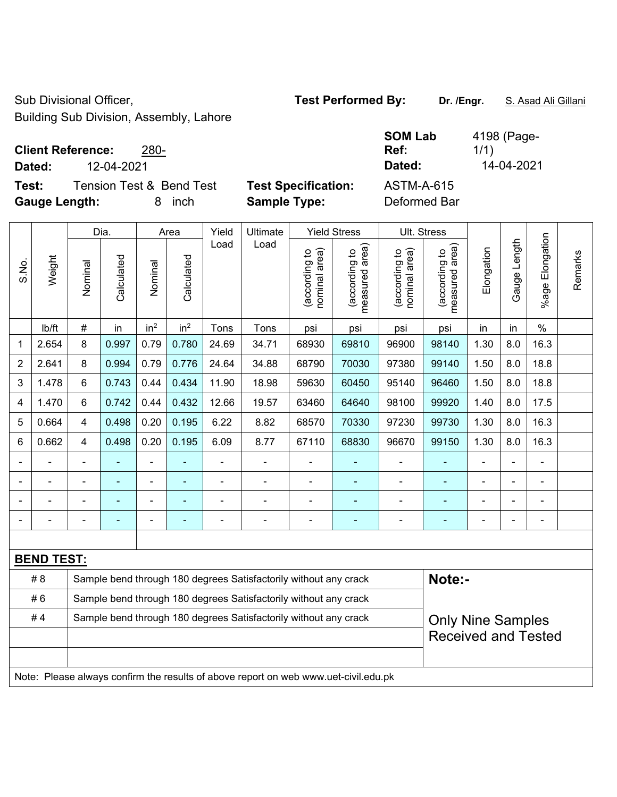Sub Divisional Officer, **Test Performed By:** Dr. /Engr. **S. Asad Ali Gillani** Sub Divisional Officer,

Building Sub Division, Assembly, Lahore

## **Client Reference:** 280-

**Test:** Tension Test & Bend Test Test Specification: **Gauge Length:** 8 inch **Sample Type:** Deformed Bar

|        | <b>Client Reference:</b><br>280- |                            | <b>SOM Lab</b><br>Ref: | 4198 (Page-<br>1/1) |
|--------|----------------------------------|----------------------------|------------------------|---------------------|
| Dated: | 12-04-2021                       |                            | Dated:                 | 14-04-2021          |
| Test:  | Tension Test & Bend Test         | <b>Test Specification:</b> | ASTM-A-615             |                     |

|                |                   |                | Dia.           |                 | Area            | Yield                                                            | Ultimate                                                                            |                                | <b>Yield Stress</b>                         |                                | Ult. Stress                     |            |                |                       |         |
|----------------|-------------------|----------------|----------------|-----------------|-----------------|------------------------------------------------------------------|-------------------------------------------------------------------------------------|--------------------------------|---------------------------------------------|--------------------------------|---------------------------------|------------|----------------|-----------------------|---------|
| S.No.          | Weight            | Nominal        | Calculated     | Nominal         | Calculated      | Load                                                             | Load                                                                                | nominal area)<br>(according to | (according to<br>neasured area)<br>measured | (according to<br>nominal area) | (according to<br>measured area) | Elongation | Gauge Length   | Elongation<br>$%$ age | Remarks |
|                | lb/ft             | $\#$           | in             | in <sup>2</sup> | in <sup>2</sup> | Tons                                                             | Tons                                                                                | psi                            | psi                                         | psi                            | psi                             | in         | in             | $\%$                  |         |
| 1              | 2.654             | 8              | 0.997          | 0.79            | 0.780           | 24.69                                                            | 34.71                                                                               | 68930                          | 69810                                       | 96900                          | 98140                           | 1.30       | 8.0            | 16.3                  |         |
| $\overline{2}$ | 2.641             | 8              | 0.994          | 0.79            | 0.776           | 24.64                                                            | 34.88                                                                               | 68790                          | 70030                                       | 97380                          | 99140                           | 1.50       | 8.0            | 18.8                  |         |
| 3              | 1.478             | 6              | 0.743          | 0.44            | 0.434           | 11.90                                                            | 18.98                                                                               | 59630                          | 60450                                       | 95140                          | 96460                           | 1.50       | 8.0            | 18.8                  |         |
| 4              | 1.470             | 6              | 0.742          | 0.44            | 0.432           | 12.66                                                            | 19.57                                                                               | 63460                          | 64640                                       | 98100                          | 99920                           | 1.40       | 8.0            | 17.5                  |         |
| 5              | 0.664             | 4              | 0.498          | 0.20            | 0.195           | 6.22                                                             | 8.82                                                                                | 68570                          | 70330                                       | 97230                          | 99730                           | 1.30       | 8.0            | 16.3                  |         |
| 6              | 0.662             | 4              | 0.498          | 0.20            | 0.195           | 6.09                                                             | 8.77                                                                                | 67110                          | 68830                                       | 96670                          | 99150                           | 1.30       | 8.0            | 16.3                  |         |
|                |                   |                |                |                 |                 |                                                                  |                                                                                     |                                | $\blacksquare$                              | $\blacksquare$                 |                                 |            |                |                       |         |
|                |                   |                |                | $\blacksquare$  |                 |                                                                  | $\blacksquare$                                                                      |                                |                                             | ä,                             |                                 |            |                |                       |         |
|                | ÷,                | $\blacksquare$ | $\blacksquare$ | ۰               |                 |                                                                  | $\blacksquare$                                                                      | ä,                             | $\blacksquare$                              | ä,                             | ä,                              | ÷          | $\blacksquare$ | $\blacksquare$        |         |
|                |                   |                |                | ۰               | ۰               |                                                                  | $\overline{\phantom{0}}$                                                            | ä,                             | $\blacksquare$                              | -                              | $\blacksquare$                  | ۰          |                | $\blacksquare$        |         |
|                |                   |                |                |                 |                 |                                                                  |                                                                                     |                                |                                             |                                |                                 |            |                |                       |         |
|                | <b>BEND TEST:</b> |                |                |                 |                 |                                                                  |                                                                                     |                                |                                             |                                |                                 |            |                |                       |         |
|                | #8                |                |                |                 |                 |                                                                  | Sample bend through 180 degrees Satisfactorily without any crack                    |                                |                                             |                                | Note:-                          |            |                |                       |         |
|                | #6                |                |                |                 |                 | Sample bend through 180 degrees Satisfactorily without any crack |                                                                                     |                                |                                             |                                |                                 |            |                |                       |         |
|                | #4                |                |                |                 |                 |                                                                  | Sample bend through 180 degrees Satisfactorily without any crack                    |                                |                                             |                                | <b>Only Nine Samples</b>        |            |                |                       |         |
|                |                   |                |                |                 |                 |                                                                  |                                                                                     |                                |                                             |                                | <b>Received and Tested</b>      |            |                |                       |         |
|                |                   |                |                |                 |                 |                                                                  |                                                                                     |                                |                                             |                                |                                 |            |                |                       |         |
|                |                   |                |                |                 |                 |                                                                  | Note: Please always confirm the results of above report on web www.uet-civil.edu.pk |                                |                                             |                                |                                 |            |                |                       |         |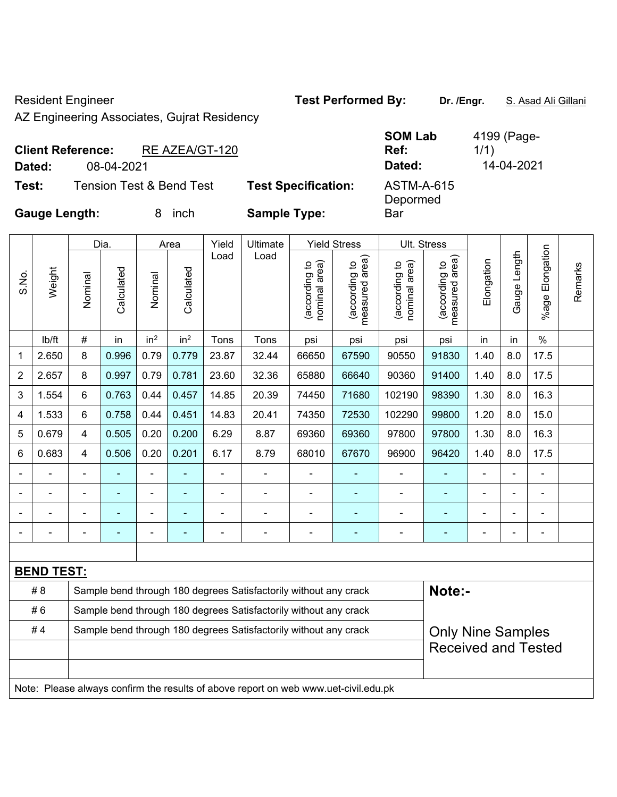Resident Engineer **Test Performed By:** Dr. /Engr. **S. Asad Ali Gillani** Resident Engineer

AZ Engineering Associates, Gujrat Residency

| <b>Client Reference:</b> |            | RE AZEA/GT-120                      |                            | <b>SOM Lab</b><br>Ref: | 4199 (Page-<br>1/1) |
|--------------------------|------------|-------------------------------------|----------------------------|------------------------|---------------------|
| Dated:                   | 08-04-2021 |                                     |                            | Dated:                 | 14-04-2021          |
| Test:                    |            | <b>Tension Test &amp; Bend Test</b> | <b>Test Specification:</b> | ASTM-A-615<br>Depormed |                     |
| <b>Gauge Length:</b>     |            | inch                                | <b>Sample Type:</b>        | Bar                    |                     |

|                |                   |                                                                  | Dia.       |                 | Area            | Yield | Ultimate                                                                            |                                | <b>Yield Stress</b>             | Ult. Stress                    |                                 |                |              |                          |         |
|----------------|-------------------|------------------------------------------------------------------|------------|-----------------|-----------------|-------|-------------------------------------------------------------------------------------|--------------------------------|---------------------------------|--------------------------------|---------------------------------|----------------|--------------|--------------------------|---------|
| S.No.          | Weight            | Nominal                                                          | Calculated | Nominal         | Calculated      | Load  | Load                                                                                | nominal area)<br>(according to | (according to<br>measured area) | nominal area)<br>(according to | (according to<br>measured area) | Elongation     | Gauge Length | Elongation<br>%age l     | Remarks |
|                | lb/ft             | $\#$                                                             | in         | in <sup>2</sup> | in <sup>2</sup> | Tons  | Tons                                                                                | psi                            | psi                             | psi                            | psi                             | in             | in           | $\%$                     |         |
| 1              | 2.650             | 8                                                                | 0.996      | 0.79            | 0.779           | 23.87 | 32.44                                                                               | 66650                          | 67590                           | 90550                          | 91830                           | 1.40           | 8.0          | 17.5                     |         |
| $\overline{2}$ | 2.657             | 8                                                                | 0.997      | 0.79            | 0.781           | 23.60 | 32.36                                                                               | 65880                          | 66640                           | 90360                          | 91400                           | 1.40           | 8.0          | 17.5                     |         |
| 3              | 1.554             | 6                                                                | 0.763      | 0.44            | 0.457           | 14.85 | 20.39                                                                               | 74450                          | 71680                           | 102190                         | 98390                           | 1.30           | 8.0          | 16.3                     |         |
| 4              | 1.533             | 6                                                                | 0.758      | 0.44            | 0.451           | 14.83 | 20.41                                                                               | 74350                          | 72530                           | 102290                         | 99800                           | 1.20           | 8.0          | 15.0                     |         |
| 5              | 0.679             | 4                                                                | 0.505      | 0.20            | 0.200           | 6.29  | 8.87                                                                                | 69360                          | 69360                           | 97800                          | 97800                           | 1.30           | 8.0          | 16.3                     |         |
| 6              | 0.683             | 4                                                                | 0.506      | 0.20            | 0.201           | 6.17  | 8.79                                                                                | 68010                          | 67670                           | 96900                          | 96420                           | 1.40           | 8.0          | 17.5                     |         |
|                |                   |                                                                  |            |                 |                 |       |                                                                                     |                                |                                 |                                |                                 |                |              |                          |         |
|                |                   |                                                                  |            |                 |                 |       |                                                                                     |                                |                                 |                                |                                 |                |              |                          |         |
|                |                   |                                                                  |            |                 |                 |       |                                                                                     |                                |                                 |                                |                                 |                |              | ٠                        |         |
|                |                   | $\blacksquare$                                                   |            | $\blacksquare$  | ۰               |       | $\blacksquare$                                                                      | $\blacksquare$                 | ٠                               | $\blacksquare$                 | ۰                               | $\blacksquare$ | -            | $\overline{\phantom{a}}$ |         |
|                |                   |                                                                  |            |                 |                 |       |                                                                                     |                                |                                 |                                |                                 |                |              |                          |         |
|                | <b>BEND TEST:</b> |                                                                  |            |                 |                 |       |                                                                                     |                                |                                 |                                |                                 |                |              |                          |         |
|                | # 8               |                                                                  |            |                 |                 |       | Sample bend through 180 degrees Satisfactorily without any crack                    |                                |                                 |                                | Note:-                          |                |              |                          |         |
|                | #6                | Sample bend through 180 degrees Satisfactorily without any crack |            |                 |                 |       |                                                                                     |                                |                                 |                                |                                 |                |              |                          |         |
|                | #4                |                                                                  |            |                 |                 |       | Sample bend through 180 degrees Satisfactorily without any crack                    |                                |                                 |                                | <b>Only Nine Samples</b>        |                |              |                          |         |
|                |                   |                                                                  |            |                 |                 |       |                                                                                     |                                |                                 |                                | <b>Received and Tested</b>      |                |              |                          |         |
|                |                   |                                                                  |            |                 |                 |       |                                                                                     |                                |                                 |                                |                                 |                |              |                          |         |
|                |                   |                                                                  |            |                 |                 |       | Note: Please always confirm the results of above report on web www.uet-civil.edu.pk |                                |                                 |                                |                                 |                |              |                          |         |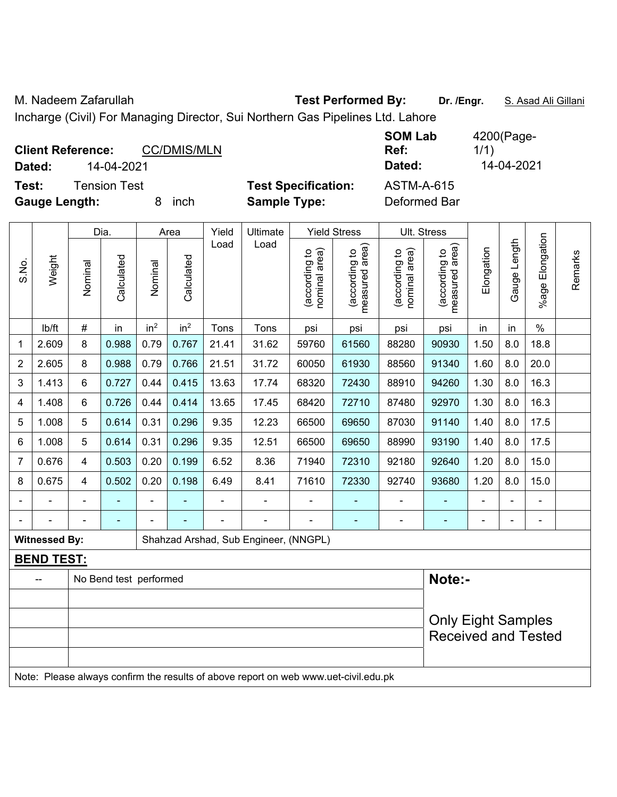```
M. Nadeem Zafarullah Test Performed By: Dr. /Engr. S. Asad Ali Gillani
```
Incharge (Civil) For Managing Director, Sui Northern Gas Pipelines Ltd. Lahore

| <b>Client Reference:</b><br>Dated: | 14-04-2021   |   | <b>CC/DMIS/MLN</b> |                            | <b>SOM Lab</b><br>Ref:<br>Dated: | 4200(Page-<br>1/1)<br>14-04-2021 |
|------------------------------------|--------------|---|--------------------|----------------------------|----------------------------------|----------------------------------|
| Test:                              | Tension Test |   |                    | <b>Test Specification:</b> | <b>ASTM-A-615</b>                |                                  |
| <b>Gauge Length:</b>               |              | 8 | inch               | <b>Sample Type:</b>        | Deformed Bar                     |                                  |

|                |                      |                | Dia.                   |                 | Area            | Yield | Ultimate                                                                            |                                | <b>Yield Stress</b>             |                                | <b>Ult. Stress</b>              |            |              |                 |         |
|----------------|----------------------|----------------|------------------------|-----------------|-----------------|-------|-------------------------------------------------------------------------------------|--------------------------------|---------------------------------|--------------------------------|---------------------------------|------------|--------------|-----------------|---------|
| S.No.          | Weight               | Nominal        | Calculated             | Nominal         | Calculated      | Load  | Load                                                                                | nominal area)<br>(according to | measured area)<br>(according to | nominal area)<br>(according to | measured area)<br>(according to | Elongation | Gauge Length | %age Elongation | Remarks |
|                | lb/ft                | $\#$           | in                     | in <sup>2</sup> | in <sup>2</sup> | Tons  | Tons                                                                                | psi                            | psi                             | psi                            | psi                             | in         | in           | $\%$            |         |
| 1              | 2.609                | 8              | 0.988                  | 0.79            | 0.767           | 21.41 | 31.62                                                                               | 59760                          | 61560                           | 88280                          | 90930                           | 1.50       | 8.0          | 18.8            |         |
| $\overline{2}$ | 2.605                | 8              | 0.988                  | 0.79            | 0.766           | 21.51 | 31.72                                                                               | 60050                          | 61930                           | 88560                          | 91340                           | 1.60       | 8.0          | 20.0            |         |
| 3              | 1.413                | 6              | 0.727                  | 0.44            | 0.415           | 13.63 | 17.74                                                                               | 68320                          | 72430                           | 88910                          | 94260                           | 1.30       | 8.0          | 16.3            |         |
| 4              | 1.408                | 6              | 0.726                  | 0.44            | 0.414           | 13.65 | 17.45                                                                               | 68420                          | 72710                           | 87480                          | 92970                           | 1.30       | 8.0          | 16.3            |         |
| 5              | 1.008                | 5              | 0.614                  | 0.31            | 0.296           | 9.35  | 12.23                                                                               | 66500                          | 69650                           | 87030                          | 91140                           | 1.40       | 8.0          | 17.5            |         |
| 6              | 1.008                | 5              | 0.614                  | 0.31            | 0.296           | 9.35  | 12.51                                                                               | 66500                          | 69650                           | 88990                          | 93190                           | 1.40       | 8.0          | 17.5            |         |
| 7              | 0.676                | $\overline{4}$ | 0.503                  | 0.20            | 0.199           | 6.52  | 8.36                                                                                | 71940                          | 72310                           | 92180                          | 92640                           | 1.20       | 8.0          | 15.0            |         |
| 8              | 0.675                | $\overline{4}$ | 0.502                  | 0.20            | 0.198           | 6.49  | 8.41                                                                                | 71610                          | 72330                           | 92740                          | 93680                           | 1.20       | 8.0          | 15.0            |         |
|                |                      |                |                        | ä,              |                 |       |                                                                                     |                                |                                 | ۰                              |                                 |            |              |                 |         |
|                |                      |                |                        |                 |                 |       |                                                                                     |                                |                                 |                                |                                 |            | Ē,           | ۰               |         |
|                | <b>Witnessed By:</b> |                |                        |                 |                 |       | Shahzad Arshad, Sub Engineer, (NNGPL)                                               |                                |                                 |                                |                                 |            |              |                 |         |
|                | <b>BEND TEST:</b>    |                |                        |                 |                 |       |                                                                                     |                                |                                 |                                |                                 |            |              |                 |         |
|                |                      |                | No Bend test performed |                 |                 |       |                                                                                     |                                |                                 |                                | Note:-                          |            |              |                 |         |
|                |                      |                |                        |                 |                 |       |                                                                                     |                                |                                 |                                |                                 |            |              |                 |         |
|                |                      |                |                        |                 |                 |       |                                                                                     |                                |                                 |                                | <b>Only Eight Samples</b>       |            |              |                 |         |
|                |                      |                |                        |                 |                 |       |                                                                                     |                                |                                 |                                | <b>Received and Tested</b>      |            |              |                 |         |
|                |                      |                |                        |                 |                 |       |                                                                                     |                                |                                 |                                |                                 |            |              |                 |         |
|                |                      |                |                        |                 |                 |       | Note: Please always confirm the results of above report on web www.uet-civil.edu.pk |                                |                                 |                                |                                 |            |              |                 |         |

4200(Page-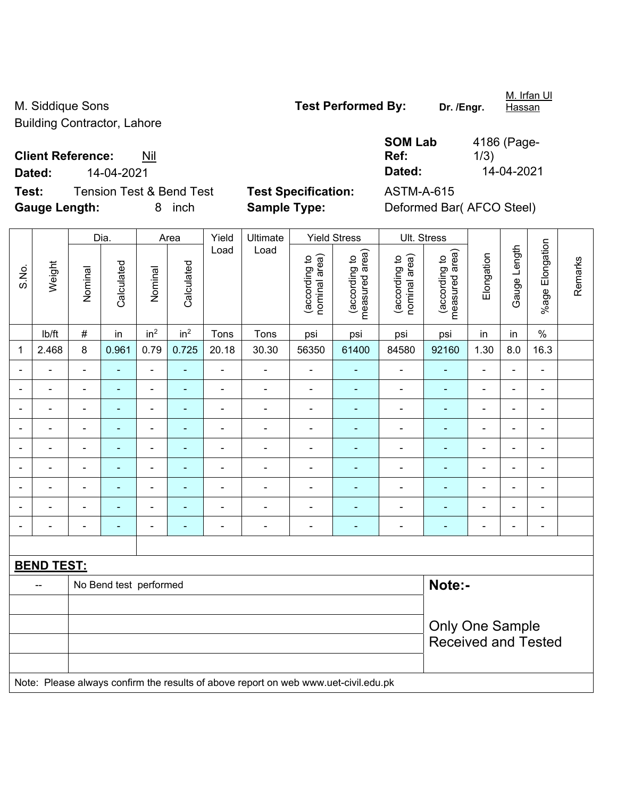M. Siddique Sons **Test Performed By:** Dr. /Engr. Building Contractor, Lahore

**Client Reference:** Nil

**Dated:** 14-04-2021 **Dated:** 14-04-2021

**Test:** Tension Test & Bend Test **Test Specification:** ASTM-A-615 **Gauge Length:** 8 inch **Sample Type:** Deformed Bar( AFCO Steel)

**Ref:** 

**SOM Lab**  4186 (Page-1/3)

|                              |                   |                          | Dia.                     |                              | Area                         | Yield                        | Ultimate                                                                            |                                | <b>Yield Stress</b>             |                                | Ult. Stress                     |                |                          |                          |         |
|------------------------------|-------------------|--------------------------|--------------------------|------------------------------|------------------------------|------------------------------|-------------------------------------------------------------------------------------|--------------------------------|---------------------------------|--------------------------------|---------------------------------|----------------|--------------------------|--------------------------|---------|
| S.No.                        | Weight            | Nominal                  | Calculated               | Nominal                      | Calculated                   | Load                         | Load                                                                                | nominal area)<br>(according to | measured area)<br>(according to | nominal area)<br>(according to | (according to<br>measured area) | Elongation     | Gauge Length             | %age Elongation          | Remarks |
|                              | Ib/ft             | $\#$                     | in                       | in <sup>2</sup>              | in <sup>2</sup>              | Tons                         | Tons                                                                                | psi                            | psi                             | psi                            | psi                             | in             | in                       | $\%$                     |         |
| 1                            | 2.468             | 8                        | 0.961                    | 0.79                         | 0.725                        | 20.18                        | 30.30                                                                               | 56350                          | 61400                           | 84580                          | 92160                           | 1.30           | 8.0                      | 16.3                     |         |
| $\blacksquare$               |                   | $\blacksquare$           | ÷,                       | $\blacksquare$               | ٠                            | $\blacksquare$               | $\blacksquare$                                                                      | $\blacksquare$                 | $\blacksquare$                  | $\blacksquare$                 | ÷,                              | $\blacksquare$ | $\overline{\phantom{a}}$ | $\overline{\phantom{a}}$ |         |
|                              | ۰                 | $\overline{\phantom{a}}$ | ÷,                       | $\qquad \qquad \blacksquare$ | $\qquad \qquad \blacksquare$ | $\blacksquare$               | $\blacksquare$                                                                      | $\blacksquare$                 | $\blacksquare$                  | ÷                              | $\blacksquare$                  | ۰              | ÷                        | $\overline{\phantom{a}}$ |         |
|                              |                   |                          | ۰                        | $\blacksquare$               | $\blacksquare$               |                              |                                                                                     | $\blacksquare$                 | $\blacksquare$                  | $\blacksquare$                 | $\blacksquare$                  |                | $\blacksquare$           | $\blacksquare$           |         |
| $\blacksquare$               |                   | $\blacksquare$           | $\blacksquare$           | $\blacksquare$               | ۰                            | $\blacksquare$               | $\blacksquare$                                                                      | $\overline{\phantom{a}}$       | $\blacksquare$                  | $\blacksquare$                 | $\blacksquare$                  | $\blacksquare$ | $\blacksquare$           | $\blacksquare$           |         |
| $\blacksquare$               |                   | $\blacksquare$           | ÷                        | $\qquad \qquad \blacksquare$ | ۰                            | $\qquad \qquad \blacksquare$ | $\blacksquare$                                                                      | $\overline{\phantom{a}}$       | $\blacksquare$                  | $\blacksquare$                 | ÷,                              | ÷              | ÷                        | $\overline{\phantom{a}}$ |         |
| $\blacksquare$               |                   | $\blacksquare$           | $\blacksquare$           | $\blacksquare$               | $\blacksquare$               | $\blacksquare$               | $\blacksquare$                                                                      | $\overline{\phantom{a}}$       | $\blacksquare$                  | ÷                              | $\blacksquare$                  | $\blacksquare$ | $\blacksquare$           | $\blacksquare$           |         |
|                              | $\blacksquare$    | $\blacksquare$           | ÷                        | $\qquad \qquad \blacksquare$ | $\blacksquare$               | $\blacksquare$               | $\blacksquare$                                                                      | $\overline{\phantom{a}}$       | $\blacksquare$                  | ÷                              | ÷,                              | ÷              | ÷,                       | $\overline{\phantom{a}}$ |         |
|                              |                   |                          | $\blacksquare$           | $\blacksquare$               |                              |                              |                                                                                     | $\overline{a}$                 | $\blacksquare$                  | $\blacksquare$                 |                                 |                |                          | $\blacksquare$           |         |
| $\qquad \qquad \blacksquare$ |                   | $\blacksquare$           | $\overline{\phantom{0}}$ | $\qquad \qquad \blacksquare$ | $\overline{\phantom{0}}$     | $\blacksquare$               | $\blacksquare$                                                                      | $\overline{\phantom{a}}$       | $\blacksquare$                  | $\overline{a}$                 | $\blacksquare$                  | $\blacksquare$ | ÷                        | $\overline{\phantom{a}}$ |         |
|                              |                   |                          |                          |                              |                              |                              |                                                                                     |                                |                                 |                                |                                 |                |                          |                          |         |
|                              | <b>BEND TEST:</b> |                          |                          |                              |                              |                              |                                                                                     |                                |                                 |                                |                                 |                |                          |                          |         |
|                              | $\overline{a}$    |                          | No Bend test performed   |                              |                              |                              |                                                                                     |                                |                                 |                                | Note:-                          |                |                          |                          |         |
|                              |                   |                          |                          |                              |                              |                              |                                                                                     |                                |                                 |                                |                                 |                |                          |                          |         |
|                              |                   |                          |                          |                              |                              |                              |                                                                                     |                                |                                 |                                | <b>Only One Sample</b>          |                |                          |                          |         |
|                              |                   |                          |                          |                              |                              |                              |                                                                                     |                                |                                 |                                | <b>Received and Tested</b>      |                |                          |                          |         |
|                              |                   |                          |                          |                              |                              |                              |                                                                                     |                                |                                 |                                |                                 |                |                          |                          |         |
|                              |                   |                          |                          |                              |                              |                              | Note: Please always confirm the results of above report on web www.uet-civil.edu.pk |                                |                                 |                                |                                 |                |                          |                          |         |

M. Irfan Ul **Hassan**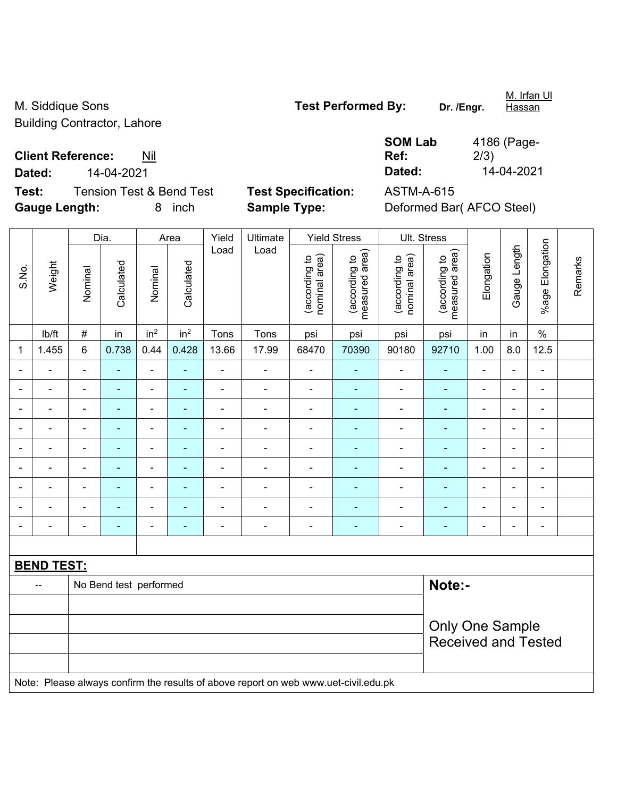M. Siddique Sons **Test Performed By:** Dr. /Engr. Building Contractor, Lahore

M. Irfan Ul **Hassan** 

**Client Reference:** Nil

**Test:** Tension Test & Bend Test **Test Specification:** ASTM-A-615 **Gauge Length:** 8 inch **Sample Type:** Deformed Bar( AFCO Steel)

**Ref:**  4186 (Page-2/3) **Dated:** 14-04-2021 **Dated:** 14-04-2021

**SOM Lab** 

|                |                          |                          | Dia.                   |                          | Area                                                                                 | Yield          | Ultimate                                                                            |                                | <b>Yield Stress</b>             | Ult. Stress                    |                                 |                              |                          |                 |         |
|----------------|--------------------------|--------------------------|------------------------|--------------------------|--------------------------------------------------------------------------------------|----------------|-------------------------------------------------------------------------------------|--------------------------------|---------------------------------|--------------------------------|---------------------------------|------------------------------|--------------------------|-----------------|---------|
| S.No.          | Weight                   | Nominal                  | Calculated             | Nominal                  | Calculated                                                                           | Load           | Load                                                                                | nominal area)<br>(according to | (according to<br>measured area) | nominal area)<br>(according to | measured area)<br>(according to | Elongation                   | Gauge Length             | %age Elongation | Remarks |
|                | Ib/ft                    | $\#$                     | in                     | in <sup>2</sup>          | in <sup>2</sup>                                                                      | Tons           | Tons                                                                                | psi                            | psi                             | psi                            | psi                             | in                           | in                       | $\%$            |         |
| 1              | 1.455                    | $6\phantom{1}$           | 0.738                  | 0.44                     | 0.428                                                                                | 13.66          | 17.99                                                                               | 68470                          | 70390                           | 90180                          | 92710                           | 1.00                         | 8.0                      | 12.5            |         |
|                |                          |                          |                        | ä,                       | ä,                                                                                   | L,             | $\blacksquare$                                                                      | $\blacksquare$                 | ۰                               | ÷,                             |                                 | ÷                            | $\blacksquare$           | ÷,              |         |
| $\blacksquare$ | $\blacksquare$           | $\blacksquare$           | $\blacksquare$         | ۰                        | ۰                                                                                    | $\blacksquare$ | $\overline{\phantom{a}}$                                                            | $\blacksquare$                 | $\blacksquare$                  | $\overline{a}$                 | $\blacksquare$                  | ÷                            | $\overline{\phantom{a}}$ | $\blacksquare$  |         |
| $\blacksquare$ |                          | $\overline{\phantom{a}}$ | ÷,                     | $\overline{\phantom{a}}$ | ٠                                                                                    | $\blacksquare$ | $\overline{\phantom{a}}$                                                            | $\blacksquare$                 | $\blacksquare$                  | ÷,                             | $\blacksquare$                  | $\blacksquare$               | $\blacksquare$           | $\blacksquare$  |         |
| $\blacksquare$ | $\blacksquare$           | $\blacksquare$           | $\blacksquare$         | $\blacksquare$           | ÷                                                                                    | ä,             | $\blacksquare$                                                                      | $\blacksquare$                 | $\blacksquare$                  | ÷,                             | $\blacksquare$                  | ÷                            | $\blacksquare$           | $\blacksquare$  |         |
|                | $\overline{\phantom{a}}$ | $\overline{\phantom{a}}$ | ä,                     | $\overline{\phantom{0}}$ | $\blacksquare$                                                                       | $\blacksquare$ | $\frac{1}{2}$                                                                       | $\blacksquare$                 | ٠                               | ÷                              | $\blacksquare$                  | ÷                            | ÷,                       | $\blacksquare$  |         |
|                |                          | $\blacksquare$           | ä,                     | ۰                        | $\blacksquare$<br>÷<br>÷,<br>$\blacksquare$<br>۰<br>$\blacksquare$<br>$\blacksquare$ |                |                                                                                     |                                |                                 |                                |                                 |                              |                          | ä,              |         |
|                |                          | ÷                        |                        | ۰                        | ۰                                                                                    | $\blacksquare$ | $\blacksquare$                                                                      | $\blacksquare$                 | ۰                               |                                |                                 | $\overline{a}$               | $\blacksquare$           | $\blacksquare$  |         |
|                |                          | ä,                       | $\blacksquare$         | ÷                        | ä,                                                                                   | $\blacksquare$ | $\blacksquare$                                                                      | $\blacksquare$                 | ٠                               | $\blacksquare$                 | $\blacksquare$                  | $\blacksquare$               | $\blacksquare$           | $\blacksquare$  |         |
| $\blacksquare$ | $\blacksquare$           | $\blacksquare$           | $\blacksquare$         | ÷,                       | ÷                                                                                    | $\blacksquare$ | $\overline{\phantom{a}}$                                                            | $\qquad \qquad \blacksquare$   | $\blacksquare$                  | $\overline{\phantom{0}}$       | $\blacksquare$                  | $\qquad \qquad \blacksquare$ | $\blacksquare$           | $\blacksquare$  |         |
|                |                          |                          |                        |                          |                                                                                      |                |                                                                                     |                                |                                 |                                |                                 |                              |                          |                 |         |
|                | <b>BEND TEST:</b>        |                          |                        |                          |                                                                                      |                |                                                                                     |                                |                                 |                                |                                 |                              |                          |                 |         |
|                |                          |                          | No Bend test performed |                          |                                                                                      |                |                                                                                     |                                |                                 |                                | Note:-                          |                              |                          |                 |         |
|                |                          |                          |                        |                          |                                                                                      |                |                                                                                     |                                |                                 |                                |                                 |                              |                          |                 |         |
|                |                          |                          |                        |                          |                                                                                      |                |                                                                                     |                                |                                 |                                | <b>Only One Sample</b>          |                              |                          |                 |         |
|                |                          |                          |                        |                          |                                                                                      |                |                                                                                     |                                |                                 |                                | <b>Received and Tested</b>      |                              |                          |                 |         |
|                |                          |                          |                        |                          |                                                                                      |                |                                                                                     |                                |                                 |                                |                                 |                              |                          |                 |         |
|                |                          |                          |                        |                          |                                                                                      |                | Note: Please always confirm the results of above report on web www.uet-civil.edu.pk |                                |                                 |                                |                                 |                              |                          |                 |         |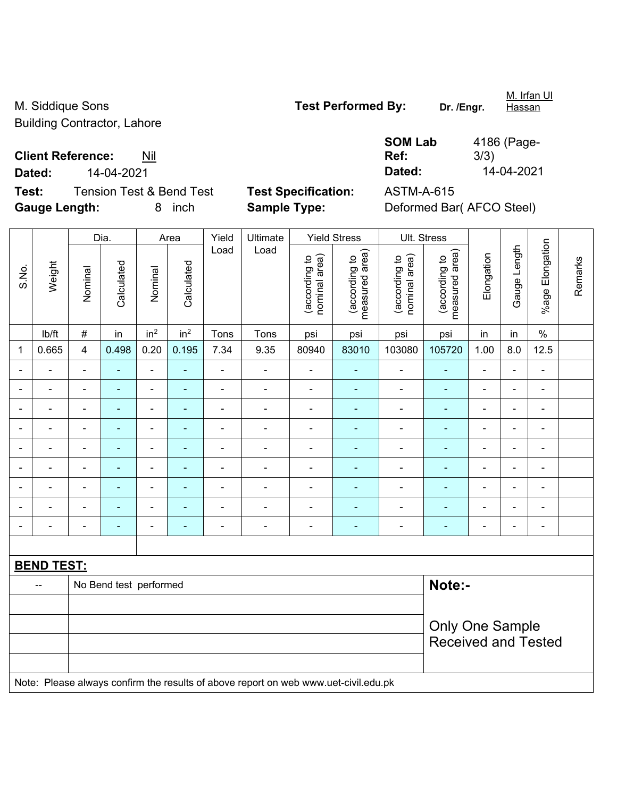M. Siddique Sons **Test Performed By:** Dr. /Engr. Building Contractor, Lahore

**Client Reference:** Nil

**Test:** Tension Test & Bend Test **Test Specification:** ASTM-A-615 **Gauge Length:** 8 inch **Sample Type:** Deformed Bar( AFCO Steel)

**SOM Lab Ref:**  4186 (Page-3/3) **Dated:** 14-04-2021 **Dated:** 14-04-2021

|                |                   |                          | Dia.                   |                 | Area            | Yield                        | Ultimate                                                                            |                                | <b>Yield Stress</b>             |                                | Ult. Stress                     |                          |                          |                          |         |
|----------------|-------------------|--------------------------|------------------------|-----------------|-----------------|------------------------------|-------------------------------------------------------------------------------------|--------------------------------|---------------------------------|--------------------------------|---------------------------------|--------------------------|--------------------------|--------------------------|---------|
| S.No.          | Weight            | Nominal                  | Calculated             | Nominal         | Calculated      | Load                         | Load                                                                                | nominal area)<br>(according to | measured area)<br>(according to | nominal area)<br>(according to | measured area)<br>(according to | Elongation               | Gauge Length             | %age Elongation          | Remarks |
|                | lb/ft             | $\#$                     | in                     | in <sup>2</sup> | in <sup>2</sup> | Tons                         | Tons                                                                                | psi                            | psi                             | psi                            | psi                             | in                       | in                       | $\%$                     |         |
| $\mathbf 1$    | 0.665             | 4                        | 0.498                  | 0.20            | 0.195           | 7.34                         | 9.35                                                                                | 80940                          | 83010                           | 103080                         | 105720                          | 1.00                     | 8.0                      | 12.5                     |         |
|                | ä,                | $\blacksquare$           | ä,                     | $\blacksquare$  | $\blacksquare$  | $\blacksquare$               | $\blacksquare$                                                                      | $\blacksquare$                 | $\blacksquare$                  | $\blacksquare$                 | ÷                               | ä,                       | $\overline{\phantom{a}}$ | $\blacksquare$           |         |
|                |                   | $\blacksquare$           | ä,                     | $\blacksquare$  | $\blacksquare$  | $\blacksquare$               | ä,                                                                                  | $\blacksquare$                 | ä,                              | $\blacksquare$                 | $\blacksquare$                  | $\overline{\phantom{a}}$ | ÷                        | $\blacksquare$           |         |
|                |                   | $\blacksquare$           |                        | $\blacksquare$  |                 |                              |                                                                                     | $\blacksquare$                 |                                 | $\blacksquare$                 | ٠                               |                          | ÷                        | $\blacksquare$           |         |
| $\blacksquare$ |                   | $\overline{\phantom{a}}$ | $\blacksquare$         | $\blacksquare$  | ÷               | $\blacksquare$               | $\blacksquare$                                                                      | $\blacksquare$                 | $\overline{\phantom{0}}$        | $\blacksquare$                 | $\blacksquare$                  | $\overline{a}$           | ÷,                       | $\overline{\phantom{a}}$ |         |
| $\blacksquare$ | $\blacksquare$    | $\overline{\phantom{a}}$ | ÷,                     | ÷,              | ÷               | $\blacksquare$               | ÷                                                                                   | $\blacksquare$                 | $\blacksquare$                  | $\overline{\phantom{a}}$       | $\blacksquare$                  | $\overline{a}$           | ÷                        | $\blacksquare$           |         |
|                | $\blacksquare$    | $\blacksquare$           | ÷,                     | $\blacksquare$  | ۰               | $\blacksquare$               | $\blacksquare$                                                                      | $\blacksquare$                 | $\blacksquare$                  | $\blacksquare$                 | ÷                               | $\overline{a}$           | ä,                       | $\blacksquare$           |         |
|                |                   | $\blacksquare$           | $\blacksquare$         | $\blacksquare$  |                 | $\blacksquare$               | $\blacksquare$                                                                      | $\blacksquare$                 | ٠                               | $\blacksquare$                 | ٠                               |                          | L.                       | $\blacksquare$           |         |
|                |                   |                          |                        |                 |                 |                              |                                                                                     |                                |                                 |                                | ۰                               |                          | L.                       | $\blacksquare$           |         |
| $\blacksquare$ |                   | $\overline{a}$           | ۰                      | $\blacksquare$  | ۰               | $\qquad \qquad \blacksquare$ | $\overline{\phantom{a}}$                                                            | $\blacksquare$                 | $\overline{\phantom{0}}$        | $\overline{\phantom{a}}$       | ۰                               | $\overline{a}$           | ÷,                       | $\overline{\phantom{a}}$ |         |
|                |                   |                          |                        |                 |                 |                              |                                                                                     |                                |                                 |                                |                                 |                          |                          |                          |         |
|                | <b>BEND TEST:</b> |                          |                        |                 |                 |                              |                                                                                     |                                |                                 |                                |                                 |                          |                          |                          |         |
|                |                   |                          | No Bend test performed |                 |                 |                              |                                                                                     |                                |                                 |                                | Note:-                          |                          |                          |                          |         |
|                |                   |                          |                        |                 |                 |                              |                                                                                     |                                |                                 |                                |                                 |                          |                          |                          |         |
|                |                   |                          |                        |                 |                 |                              |                                                                                     |                                |                                 |                                | <b>Only One Sample</b>          |                          |                          |                          |         |
|                |                   |                          |                        |                 |                 |                              |                                                                                     |                                |                                 |                                | <b>Received and Tested</b>      |                          |                          |                          |         |
|                |                   |                          |                        |                 |                 |                              |                                                                                     |                                |                                 |                                |                                 |                          |                          |                          |         |
|                |                   |                          |                        |                 |                 |                              | Note: Please always confirm the results of above report on web www.uet-civil.edu.pk |                                |                                 |                                |                                 |                          |                          |                          |         |

M. Irfan Ul **Hassan**